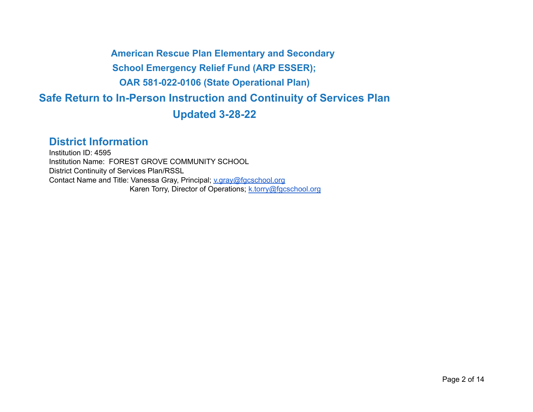**American Rescue Plan Elementary and Secondary School Emergency Relief Fund (ARP ESSER); OAR 581-022-0106 (State Operational Plan) Safe Return to In-Person Instruction and Continuity of Services Plan Updated 3-28-22**

# **District Information**

Institution ID: 4595 Institution Name: FOREST GROVE COMMUNITY SCHOOL District Continuity of Services Plan/RSSL Contact Name and Title: Vanessa Gray, Principal; [v.gray@fgcschool.org](mailto:v.gray@fgcschool.org) Karen Torry, Director of Operations; [k.torry@fgcschool.org](mailto:k.torry@fgcschool.org)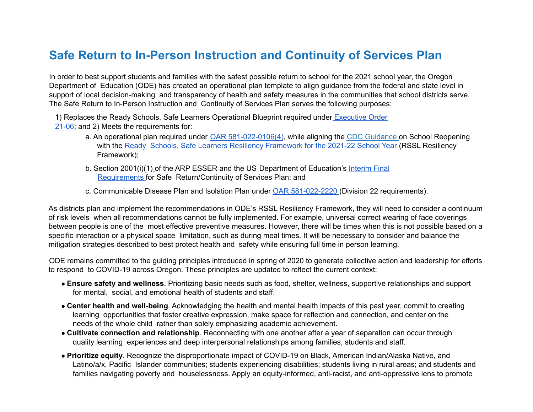# **Safe Return to In-Person Instruction and Continuity of Services Plan**

In order to best support students and families with the safest possible return to school for the 2021 school year, the Oregon Department of Education (ODE) has created an operational plan template to align guidance from the federal and state level in support of local decision-making and transparency of health and safety measures in the communities that school districts serve. The Safe Return to In-Person Instruction and Continuity of Services Plan serves the following purposes:

1) Replaces the Ready Schools, Safe Learners Operational Blueprint required under [Executive](https://www.oregon.gov/gov/Documents/executive_orders/eo_21-06.pdf) Order [21-06](https://www.oregon.gov/gov/Documents/executive_orders/eo_21-06.pdf); and 2) Meets the requirements for:

- a. An operational plan required under OAR [581-022-0106\(4\)](https://secure.sos.state.or.us/oard/viewSingleRule.action?ruleVrsnRsn=279135), while aligning the CDC Guidance on School Reopening with the Ready Schools, Safe Learners Resiliency [Framework](https://www.oregon.gov/ode/students-and-family/healthsafety/Documents/Ready%20Schools%20Safe%20Learners%20Resiliency%20Framework%20for%20the%202021-22%20School%20Year.pdf) for the 2021-22 School Year (RSSL Resiliency Framework);
- b. Section 2001(i)(1) of the ARP ESSER and the US Department of Education's [Interim](https://www.federalregister.gov/documents/2021/04/22/2021-08359/american-rescue-plan-act-elementary-and-secondary-school-emergency-relief-fund) Final [Requirements](https://www.federalregister.gov/documents/2021/04/22/2021-08359/american-rescue-plan-act-elementary-and-secondary-school-emergency-relief-fund) for Safe Return/Continuity of Services Plan; and
- c. Communicable Disease Plan and Isolation Plan under OAR [581-022-2220](https://secure.sos.state.or.us/oard/viewSingleRule.action?ruleVrsnRsn=145269) (Division 22 requirements).

As districts plan and implement the recommendations in ODE's RSSL Resiliency Framework, they will need to consider a continuum of risk levels when all recommendations cannot be fully implemented. For example, universal correct wearing of face coverings between people is one of the most effective preventive measures. However, there will be times when this is not possible based on a specific interaction or a physical space limitation, such as during meal times. It will be necessary to consider and balance the mitigation strategies described to best protect health and safety while ensuring full time in person learning.

ODE remains committed to the guiding principles introduced in spring of 2020 to generate collective action and leadership for efforts to respond to COVID-19 across Oregon. These principles are updated to reflect the current context:

- **Ensure safety and wellness**. Prioritizing basic needs such as food, shelter, wellness, supportive relationships and support for mental, social, and emotional health of students and staff.
- **Center health and well-being**. Acknowledging the health and mental health impacts of this past year, commit to creating learning opportunities that foster creative expression, make space for reflection and connection, and center on the needs of the whole child rather than solely emphasizing academic achievement.
- **Cultivate connection and relationship**. Reconnecting with one another after a year of separation can occur through quality learning experiences and deep interpersonal relationships among families, students and staff.
- **Prioritize equity**. Recognize the disproportionate impact of COVID-19 on Black, American Indian/Alaska Native, and Latino/a/x, Pacific Islander communities; students experiencing disabilities; students living in rural areas; and students and families navigating poverty and houselessness. Apply an equity-informed, anti-racist, and anti-oppressive lens to promote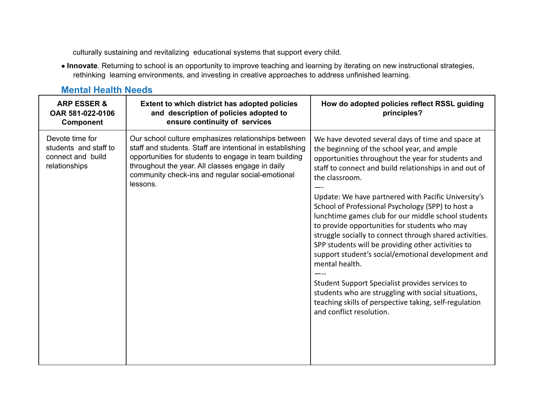culturally sustaining and revitalizing educational systems that support every child.

● **Innovate**. Returning to school is an opportunity to improve teaching and learning by iterating on new instructional strategies, rethinking learning environments, and investing in creative approaches to address unfinished learning.

### **Mental Health Needs**

| <b>ARP ESSER &amp;</b><br>OAR 581-022-0106<br><b>Component</b>                 | Extent to which district has adopted policies<br>and description of policies adopted to<br>ensure continuity of services                                                                                                                                                                      | How do adopted policies reflect RSSL guiding<br>principles?                                                                                                                                                                                                                                                                                                                                                                                                                                                                                                                                                                                                                                                                                                                                                                                     |
|--------------------------------------------------------------------------------|-----------------------------------------------------------------------------------------------------------------------------------------------------------------------------------------------------------------------------------------------------------------------------------------------|-------------------------------------------------------------------------------------------------------------------------------------------------------------------------------------------------------------------------------------------------------------------------------------------------------------------------------------------------------------------------------------------------------------------------------------------------------------------------------------------------------------------------------------------------------------------------------------------------------------------------------------------------------------------------------------------------------------------------------------------------------------------------------------------------------------------------------------------------|
| Devote time for<br>students and staff to<br>connect and build<br>relationships | Our school culture emphasizes relationships between<br>staff and students. Staff are intentional in establishing<br>opportunities for students to engage in team building<br>throughout the year. All classes engage in daily<br>community check-ins and regular social-emotional<br>lessons. | We have devoted several days of time and space at<br>the beginning of the school year, and ample<br>opportunities throughout the year for students and<br>staff to connect and build relationships in and out of<br>the classroom.<br>Update: We have partnered with Pacific University's<br>School of Professional Psychology (SPP) to host a<br>lunchtime games club for our middle school students<br>to provide opportunities for students who may<br>struggle socially to connect through shared activities.<br>SPP students will be providing other activities to<br>support student's social/emotional development and<br>mental health.<br>Student Support Specialist provides services to<br>students who are struggling with social situations,<br>teaching skills of perspective taking, self-regulation<br>and conflict resolution. |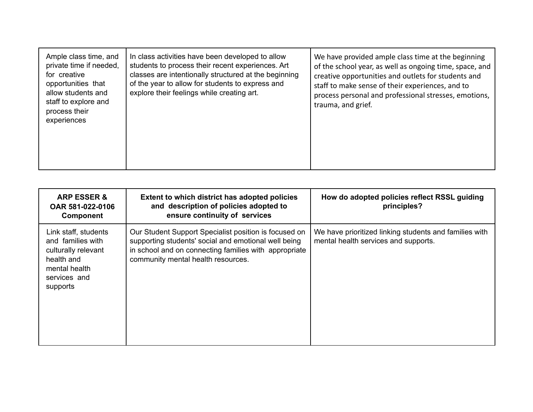| Ample class time, and<br>private time if needed,<br>for creative<br>opportunities that<br>allow students and<br>staff to explore and<br>process their<br>experiences | In class activities have been developed to allow<br>students to process their recent experiences. Art<br>classes are intentionally structured at the beginning<br>of the year to allow for students to express and<br>explore their feelings while creating art. | We have provided ample class time at the beginning<br>of the school year, as well as ongoing time, space, and<br>creative opportunities and outlets for students and<br>staff to make sense of their experiences, and to<br>process personal and professional stresses, emotions,<br>trauma, and grief. |
|----------------------------------------------------------------------------------------------------------------------------------------------------------------------|------------------------------------------------------------------------------------------------------------------------------------------------------------------------------------------------------------------------------------------------------------------|---------------------------------------------------------------------------------------------------------------------------------------------------------------------------------------------------------------------------------------------------------------------------------------------------------|
|----------------------------------------------------------------------------------------------------------------------------------------------------------------------|------------------------------------------------------------------------------------------------------------------------------------------------------------------------------------------------------------------------------------------------------------------|---------------------------------------------------------------------------------------------------------------------------------------------------------------------------------------------------------------------------------------------------------------------------------------------------------|

| <b>ARP ESSER &amp;</b><br>OAR 581-022-0106<br><b>Component</b>                                                              | Extent to which district has adopted policies<br>and description of policies adopted to<br>ensure continuity of services                                                                                     | How do adopted policies reflect RSSL guiding<br>principles?                                    |
|-----------------------------------------------------------------------------------------------------------------------------|--------------------------------------------------------------------------------------------------------------------------------------------------------------------------------------------------------------|------------------------------------------------------------------------------------------------|
| Link staff, students<br>and families with<br>culturally relevant<br>health and<br>mental health<br>services and<br>supports | Our Student Support Specialist position is focused on<br>supporting students' social and emotional well being<br>in school and on connecting families with appropriate<br>community mental health resources. | We have prioritized linking students and families with<br>mental health services and supports. |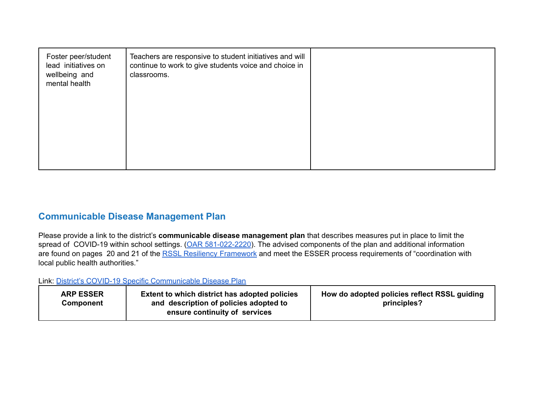| Foster peer/student<br>lead initiatives on<br>wellbeing and<br>mental health | Teachers are responsive to student initiatives and will<br>continue to work to give students voice and choice in<br>classrooms. |  |
|------------------------------------------------------------------------------|---------------------------------------------------------------------------------------------------------------------------------|--|
|                                                                              |                                                                                                                                 |  |

#### **Communicable Disease Management Plan**

Please provide a link to the district's **communicable disease management plan** that describes measures put in place to limit the spread of COVID-19 within school settings. (OAR [581-022-2220](https://secure.sos.state.or.us/oard/viewSingleRule.action?ruleVrsnRsn=145269)). The advised components of the plan and additional information are found on pages 20 and 21 of the RSSL Resiliency [Framework](https://www.oregon.gov/ode/students-and-family/healthsafety/Documents/Ready%20Schools%20Safe%20Learners%20Resiliency%20Framework%20for%20the%202021-22%20School%20Year.pdf) and meet the ESSER process requirements of "coordination with local public health authorities."

Link: District's COVID-19 Specific [Communicable](https://docs.google.com/document/d/1xl_iUfioNn7xS0JsCy1VwrruEMf7BaGN940r-a0XliY/edit?usp=sharing) Disease Plan

| <b>ARP ESSER</b><br>Component | Extent to which district has adopted policies<br>and description of policies adopted to<br>ensure continuity of services | How do adopted policies reflect RSSL guiding<br>principles? |
|-------------------------------|--------------------------------------------------------------------------------------------------------------------------|-------------------------------------------------------------|
|-------------------------------|--------------------------------------------------------------------------------------------------------------------------|-------------------------------------------------------------|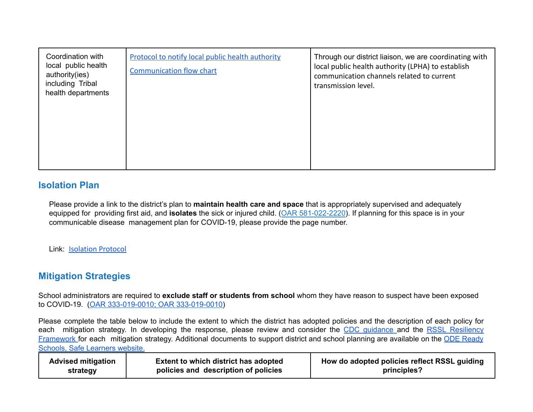| Coordination with<br>local public health<br>authority(ies)<br>including Tribal<br>health departments | <b>Protocol to notify local public health authority</b><br><b>Communication flow chart</b> | Through our district liaison, we are coordinating with<br>local public health authority (LPHA) to establish<br>communication channels related to current<br>transmission level. |
|------------------------------------------------------------------------------------------------------|--------------------------------------------------------------------------------------------|---------------------------------------------------------------------------------------------------------------------------------------------------------------------------------|
|                                                                                                      |                                                                                            |                                                                                                                                                                                 |

#### **Isolation Plan**

Please provide a link to the district's plan to **maintain health care and space** that is appropriately supervised and adequately equipped for providing first aid, and **isolates** the sick or injured child. (OAR 581-022-2220). If planning for this space is in your communicable disease management plan for COVID-19, please provide the page number.

Link: [Isolation Protocol](https://docs.google.com/document/d/1FL1W_viWoyVwhKZ0MfKk_CAIZ8JoFQS-0Rp7cCe5BrY/edit?usp=sharing)

### **Mitigation Strategies**

School administrators are required to **exclude staff or students from school** whom they have reason to suspect have been exposed to COVID-19. (OAR [333-019-0010;](https://secure.sos.state.or.us/oard/viewSingleRule.action?ruleVrsnRsn=279421) OAR 333-019-0010)

Please complete the table below to include the extent to which the district has adopted policies and the description of each policy for each mitigation strategy. In developing the response, please review and consider the CDC [guidance](https://www.cdc.gov/quarantine/masks/mask-travel-guidance.html) and the RSSL [Resiliency](https://www.oregon.gov/ode/students-and-family/healthsafety/Documents/Ready%20Schools%20Safe%20Learners%20Resiliency%20Framework%20for%20the%202021-22%20School%20Year.pdf?utm_medium=email&utm_source=govdelivery) [Framework](https://www.oregon.gov/ode/students-and-family/healthsafety/Documents/Ready%20Schools%20Safe%20Learners%20Resiliency%20Framework%20for%20the%202021-22%20School%20Year.pdf?utm_medium=email&utm_source=govdelivery) for each mitigation strategy. Additional documents to support district and school planning are available on the ODE [Ready](https://www.oregon.gov/ode/students-and-family/healthsafety/Pages/Planning-for-the-2020-21-School-Year.aspx) Schools, Safe [Learners](https://www.oregon.gov/ode/students-and-family/healthsafety/Pages/Planning-for-the-2020-21-School-Year.aspx) website.

| <b>Advised mitigation</b> | <b>Extent to which district has adopted</b> | How do adopted policies reflect RSSL guiding |
|---------------------------|---------------------------------------------|----------------------------------------------|
| strategy                  | policies and description of policies        | principles?                                  |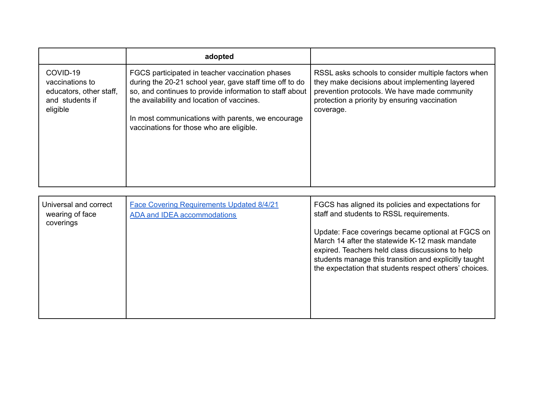|                                                                                       | adopted                                                                                                                                                                                                                                                                                                              |                                                                                                                                                                                                                     |
|---------------------------------------------------------------------------------------|----------------------------------------------------------------------------------------------------------------------------------------------------------------------------------------------------------------------------------------------------------------------------------------------------------------------|---------------------------------------------------------------------------------------------------------------------------------------------------------------------------------------------------------------------|
| COVID-19<br>vaccinations to<br>educators, other staff,<br>and students if<br>eligible | FGCS participated in teacher vaccination phases<br>during the 20-21 school year, gave staff time off to do<br>so, and continues to provide information to staff about<br>the availability and location of vaccines.<br>In most communications with parents, we encourage<br>vaccinations for those who are eligible. | RSSL asks schools to consider multiple factors when<br>they make decisions about implementing layered<br>prevention protocols. We have made community<br>protection a priority by ensuring vaccination<br>coverage. |

| Universal and correct<br>wearing of face<br>coverings | Face Covering Requirements Updated 8/4/21<br>ADA and IDEA accommodations | FGCS has aligned its policies and expectations for<br>staff and students to RSSL requirements.                                                                                                                                                                             |
|-------------------------------------------------------|--------------------------------------------------------------------------|----------------------------------------------------------------------------------------------------------------------------------------------------------------------------------------------------------------------------------------------------------------------------|
|                                                       |                                                                          | Update: Face coverings became optional at FGCS on<br>March 14 after the statewide K-12 mask mandate<br>expired. Teachers held class discussions to help<br>students manage this transition and explicitly taught<br>the expectation that students respect others' choices. |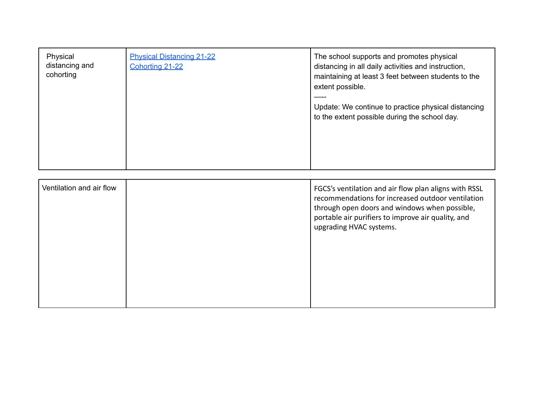| Physical<br>distancing and<br>cohorting | <b>Physical Distancing 21-22</b><br>Cohorting 21-22 | The school supports and promotes physical<br>distancing in all daily activities and instruction,<br>maintaining at least 3 feet between students to the<br>extent possible.<br>Update: We continue to practice physical distancing<br>to the extent possible during the school day. |
|-----------------------------------------|-----------------------------------------------------|-------------------------------------------------------------------------------------------------------------------------------------------------------------------------------------------------------------------------------------------------------------------------------------|
| Ventilation and air flow                |                                                     | FGCS's ventilation and air flow plan aligns with RSSL<br>$\mathbf{r}$ , and $\mathbf{r}$ , and $\mathbf{r}$ , and $\mathbf{r}$ , and $\mathbf{r}$ , and $\mathbf{r}$ , and $\mathbf{r}$                                                                                             |

| Ventilation and air flow |  | FGCS's ventilation and air flow plan aligns with RSSL<br>recommendations for increased outdoor ventilation<br>through open doors and windows when possible,<br>portable air purifiers to improve air quality, and<br>upgrading HVAC systems. |
|--------------------------|--|----------------------------------------------------------------------------------------------------------------------------------------------------------------------------------------------------------------------------------------------|
|                          |  |                                                                                                                                                                                                                                              |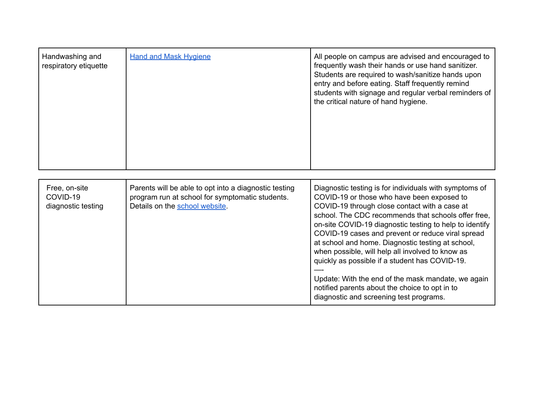| Handwashing and<br>respiratory etiquette        | <b>Hand and Mask Hygiene</b>                                                                                                               | All people on campus are advised and encouraged to<br>frequently wash their hands or use hand sanitizer.<br>Students are required to wash/sanitize hands upon<br>entry and before eating. Staff frequently remind<br>students with signage and regular verbal reminders of<br>the critical nature of hand hygiene.                                                                                                                                                                                                                                                                                                                         |
|-------------------------------------------------|--------------------------------------------------------------------------------------------------------------------------------------------|--------------------------------------------------------------------------------------------------------------------------------------------------------------------------------------------------------------------------------------------------------------------------------------------------------------------------------------------------------------------------------------------------------------------------------------------------------------------------------------------------------------------------------------------------------------------------------------------------------------------------------------------|
| Free, on-site<br>COVID-19<br>diagnostic testing | Parents will be able to opt into a diagnostic testing<br>program run at school for symptomatic students.<br>Details on the school website. | Diagnostic testing is for individuals with symptoms of<br>COVID-19 or those who have been exposed to<br>COVID-19 through close contact with a case at<br>school. The CDC recommends that schools offer free,<br>on-site COVID-19 diagnostic testing to help to identify<br>COVID-19 cases and prevent or reduce viral spread<br>at school and home. Diagnostic testing at school,<br>when possible, will help all involved to know as<br>quickly as possible if a student has COVID-19.<br>Update: With the end of the mask mandate, we again<br>notified parents about the choice to opt in to<br>diagnostic and screening test programs. |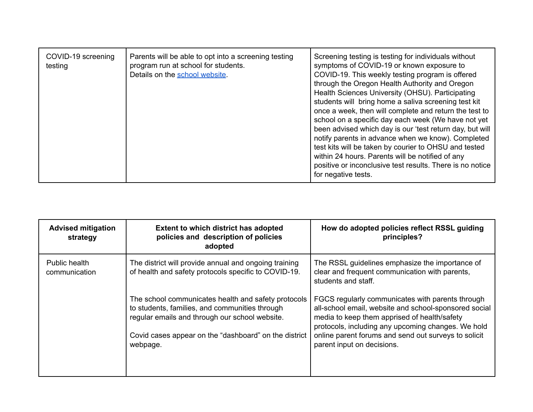| COVID-19 screening<br>testing | Parents will be able to opt into a screening testing<br>program run at school for students.<br>Details on the school website. | Screening testing is testing for individuals without<br>symptoms of COVID-19 or known exposure to<br>COVID-19. This weekly testing program is offered<br>through the Oregon Health Authority and Oregon<br>Health Sciences University (OHSU). Participating<br>students will bring home a saliva screening test kit<br>once a week, then will complete and return the test to<br>school on a specific day each week (We have not yet<br>been advised which day is our 'test return day, but will<br>notify parents in advance when we know). Completed<br>test kits will be taken by courier to OHSU and tested<br>within 24 hours. Parents will be notified of any<br>positive or inconclusive test results. There is no notice<br>for negative tests. |
|-------------------------------|-------------------------------------------------------------------------------------------------------------------------------|---------------------------------------------------------------------------------------------------------------------------------------------------------------------------------------------------------------------------------------------------------------------------------------------------------------------------------------------------------------------------------------------------------------------------------------------------------------------------------------------------------------------------------------------------------------------------------------------------------------------------------------------------------------------------------------------------------------------------------------------------------|
|-------------------------------|-------------------------------------------------------------------------------------------------------------------------------|---------------------------------------------------------------------------------------------------------------------------------------------------------------------------------------------------------------------------------------------------------------------------------------------------------------------------------------------------------------------------------------------------------------------------------------------------------------------------------------------------------------------------------------------------------------------------------------------------------------------------------------------------------------------------------------------------------------------------------------------------------|

| <b>Advised mitigation</b><br>strategy | <b>Extent to which district has adopted</b><br>policies and description of policies<br>adopted                                                                                                                               | How do adopted policies reflect RSSL guiding<br>principles?                                                                                                                                                                                                                                           |
|---------------------------------------|------------------------------------------------------------------------------------------------------------------------------------------------------------------------------------------------------------------------------|-------------------------------------------------------------------------------------------------------------------------------------------------------------------------------------------------------------------------------------------------------------------------------------------------------|
| Public health<br>communication        | The district will provide annual and ongoing training<br>of health and safety protocols specific to COVID-19.                                                                                                                | The RSSL guidelines emphasize the importance of<br>clear and frequent communication with parents,<br>students and staff.                                                                                                                                                                              |
|                                       | The school communicates health and safety protocols<br>to students, families, and communities through<br>regular emails and through our school website.<br>Covid cases appear on the "dashboard" on the district<br>webpage. | FGCS regularly communicates with parents through<br>all-school email, website and school-sponsored social<br>media to keep them apprised of health/safety<br>protocols, including any upcoming changes. We hold<br>online parent forums and send out surveys to solicit<br>parent input on decisions. |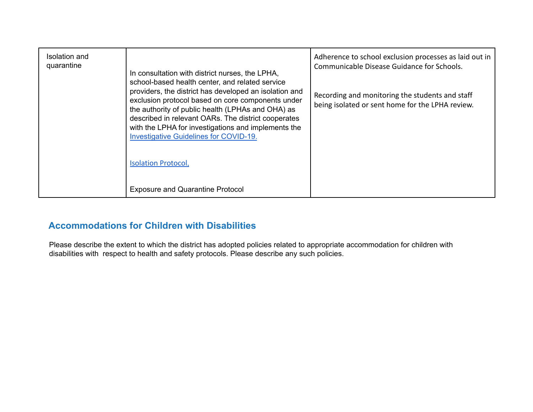| Isolation and<br>quarantine | In consultation with district nurses, the LPHA,                                                                                                                                                                                                                                                                                                                                                                  | Adherence to school exclusion processes as laid out in<br>Communicable Disease Guidance for Schools. |
|-----------------------------|------------------------------------------------------------------------------------------------------------------------------------------------------------------------------------------------------------------------------------------------------------------------------------------------------------------------------------------------------------------------------------------------------------------|------------------------------------------------------------------------------------------------------|
|                             | school-based health center, and related service<br>providers, the district has developed an isolation and<br>exclusion protocol based on core components under<br>the authority of public health (LPHAs and OHA) as<br>described in relevant OARs. The district cooperates<br>with the LPHA for investigations and implements the<br><b>Investigative Guidelines for COVID-19.</b><br><b>Isolation Protocol,</b> | Recording and monitoring the students and staff<br>being isolated or sent home for the LPHA review.  |
|                             | <b>Exposure and Quarantine Protocol</b>                                                                                                                                                                                                                                                                                                                                                                          |                                                                                                      |

# **Accommodations for Children with Disabilities**

Please describe the extent to which the district has adopted policies related to appropriate accommodation for children with disabilities with respect to health and safety protocols. Please describe any such policies.